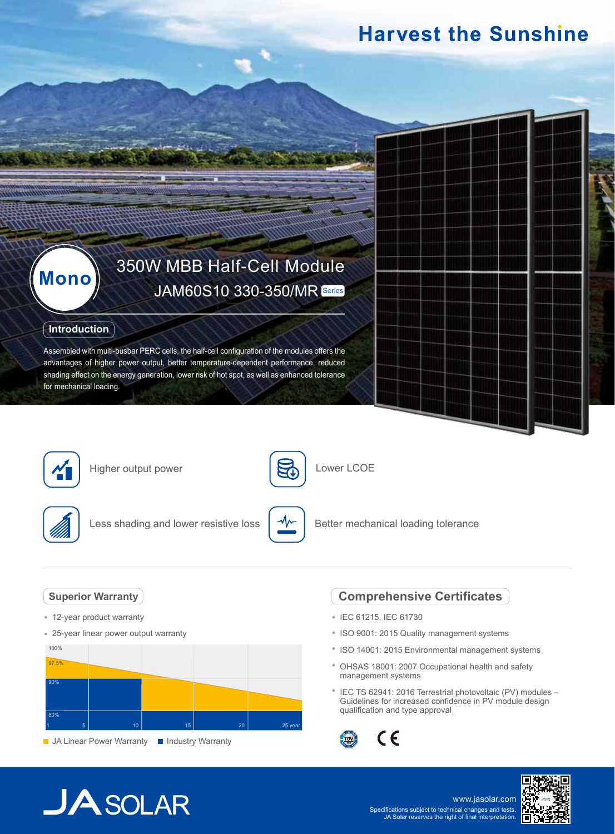## **Harvest the Sunshine**

# **Mono** 350W MBB Half-Cell Module

## **Introduction**

Assembled with multi-busbar PERC cells, the half-cell configuration of the modules offers the advantages of higher power output, better temperature-dependent performance, reduced shading effect on the energy generation, lower risk of hot spot, as well as enhanced tolerance for mechanical loading.



Higher output power



Lower LCOE



Less shading and lower resistive loss



Better mechanical loading tolerance

## **Superior Warranty**

- 12-year product warranty
- 25-year linear power output warranty



**JA Linear Power Warranty III Industry Warranty** 

## **Comprehensive Certificates**

- IEC 61215, IEC 61730
- ISO 9001: 2015 Quality management systems
- ISO 14001: 2015 Environmental management systems
- OHSAS 18001: 2007 Occupational health and safety management systems
- <sup>\*</sup> IEC TS 62941: 2016 Terrestrial photovoltaic (PV) modules -Guidelines for increased confidence in PV module design qualification and type approval



## **JA** SOLAR

www.jasolar.com Specifications subject to technical changes and tests. JA Solar reserves the right of final interpretation.